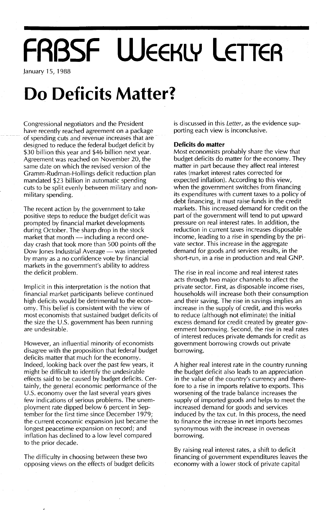# **FRBSF WEEKLY LETTEA**

January 15, 1988

## **Do Deficits Matter?**

Congressional negotiators and the President have recently reached agreement on a package of spending cuts and revenue increases that are designed to reduce the federal budget deficit by \$30 billion this year and \$46 billion next year. Agreement was reached on November 20, the same date on which the revised version of the Gramm-Rudman-Hollings deficit reduction plan mandated \$23 billion in automatic spending cuts to be split evenly between military and nonmilitary spending.

The recent action by the government to take positive steps to reduce the budget deficit was prompted by financial market developments during October. The sharp drop in the stock market that month  $-$  including a record oneday crash that took more than 500 points off the Dow Jones Industrial Average — was interpreted by many as a no confidence vote by financial markets in the government's ability to address the deficit problem.

Implicit in this interpretation is the notion that financial market participants believe continued high deficits would be detrimental to the economy. This belief is consistent with the view of most economists that sustained budget deficits of the size the  $U.S.$  government has been running are undesirable.

However, an influential minority of economists disagree with the proposition that federal budget deficits matter that much for the economy. Indeed, looking back over the past few years, it might be difficult to identify the undesirable effects said to be caused by budget deficits. Certainly, the general economic performance of the U.S. economy over the last several years gives few indications of serious problems. The unemployment rate dipped below 6 percent in September for the first time since December 1979; the current economic expansion just became the longest peacetime expansion on record; and inflation has declined to a low level compared to the prior decade.

The difficulty in choosing between these two opposing views on the effects of budget deficits is discussed in this Letter, as the evidence supporting each view is inconclusive.

#### **Deficits do matter**

Most economists probably share the view that budget deficits do matter for the economy. They matter in part because they affect real interest rates (market interest rates corrected for expected inflation). According to this view, when the government switches from financing its expenditures with current taxes to a policy of debt financing, it must raise funds in the credit markets. This increased demand for credit on the part of the government will tend to put upward pressure on real interest rates. In addition, the reduction in current taxes increases disposable income, leading to a rise in spending by the private sector. This increase in the aggregate demand for goods and services results, in the short-run, in a rise in production and real GNP.

The rise in real income and real interest rates acts through two major channels to affect the private sector. First, as disposable income rises, households will increase both their consumption and their saving. The rise in savings implies an increase in the supply of credit, and this works to reduce (although not eliminate) the initial excess demand for credit created by greater government borrowing. Second, the rise in real rates of interest reduces private demands for credit as government borrowing crowds out private borrowing.

A higher real interest rate in the country running the budget deficit also leads to an appreciation in the value of the country's currency and therefore to a rise in imports relative to exports. This worsening of the trade balance increases the supply of imported goods and helps to meet the increased demand for goods and services induced by the tax cut. In this process, the need to finance the increase in net imports becomes synonymous with the increase in overseas borrowing.

By raising real interest rates, a shift to deficit financing of government expenditures leaves the economy with a lower stock of private capital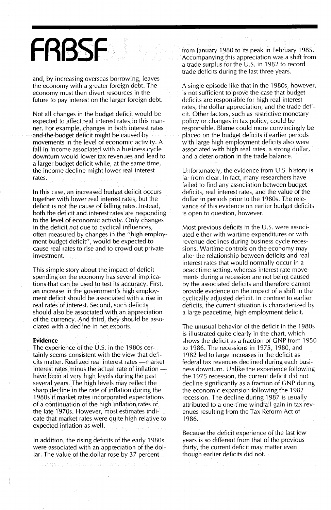## **FRBSF**

and, by increasing *overseas* borrowing, leaves the economy with a greater foreign debt. The economy must then *divert* resources in the future to pay interest on the larger foreign debt.

Not all changes in the budget deficit would be expected to affect real interest rates in this manner. For example, changes in both interest rates and the budget deficit might be caused by *movements* in the *level* of economic activity. A fall in income associated with a business cycle downturn would lower tax revenues and lead to a larger budget deficit while, at the same time, the income decline might lower real interest rates.

In this case, an increased budget deficit occurs together with lower real interest rates, but the deficit is not the cause of falling rates. Instead, both the deficit and interest rates are responding to the level of economic activity. Only changes in the deficit *not* due to cyclical influences, often measured by changes in the "high employment budget deficit", would be expected to cause real rates to rise and to crowd out private investment.

This simple story about the impact of deficit spending on the economy has several implications that can. be used to test its accuracy. First, an increase in the government's high employment deficit should be associated with a rise in real rates of interest. Second, such deficits should also be associated with an appreciation of the currency. And third, they should be associated with a decline in net exports.

#### **Evidence**

The experience of the U.S. in the 1980s certainly seems consistent with the *view* that deficits matter. Realized real interest rates-market interest rates minus the actual rate of inflation have been at very high levels during the past several years. The high levels may reflect the sharp decline in the rate of inflation during the 1980s if market rates incorporated expectations of a continuation of the high inflation rates of the. late 1970s.. *However,* most estimates indicate that market rates were quite high relative to expected inflation as well.

In addition, the rising deficits of the early 1980s were associated with an appreciation of the dollar. The value of the dollar rose by 37 percent

from January 1980 to its peak in February 1985. Accompanying this appreciation was a shift from a trade surplus for the U.S. in 1982 to record trade deficits during the last three years.

A single episode like that in the 1980s, *however,* is not sufficient to *prove* the case that budget deficits are responsible for high real interest rates, the dollar appreciation, and the trade deficit. Other factors, such as restrictive monetary policy or changes in tax policy, could be responsible. Blame could more convincingly be placed on the budget deficits if earlier periods with large high employment deficits also were associated with high real rates, a strong dollar, and a deterioration in the trade balance.

Unfortunately, the *evidence* from U.S. history is far from clear. In fact, many researchers *have* failed to find any association between budget deficits, real interest rates, and the value of the dollar in periods prior to the 1980s. The rele*vance* of this *evidence* on earlier budget deficits is open to question, *however.*

Most previous deficits in the U.S. were associated either with wartime expenditures or with *revenue* declines during business cycle recessions. Wartime controls on the economy may alter the relationship between deficits and real interest rates that would normally occur in a peacetime setting, whereas interest rate *move*ments during a recession are not being caused by the associated deficits and therefore cannot provide *evidence* on the impact of a shift in the cyclically adjusted deficit. In contrast to earlier deficits, the current situation is characterized by a large peacetime, high employment deficit.

The unusual behavior of the deficit in the 1980s is illustrated quite clearly in the chart, which shows the deficit as a fraction of GNP from 1950 to 1986. The recessions in 1975, 1980, and 1982 led to large increases in the deficit as federal tax revenues declined during each business downturn. Unlike the experience following the 1975 recession, the current deficit did not decline significantly as a fraction of GNP during the economic expansion following the 1982 recession. The decline during 1987 is usually attributed to a one-time windfall gain in tax *rev*enues resulting from the Tax Reform Act of 1986.

Because the deficit experience of the last few years is so different from that of the previous thirty, the current deficit may matter *even* though earlier deficits did not.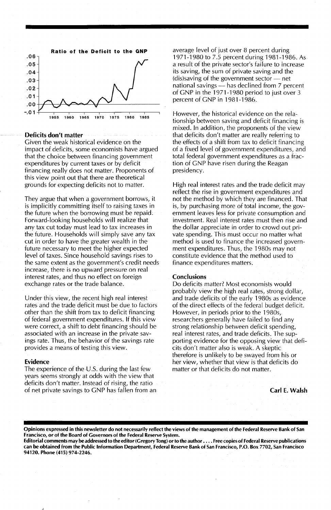

#### Deficits don't matter

Given the weak historical evidence on the impact of deficits, some economists have argued that the choice between financing government expenditures by current taxes or by deficit financing really does not matter. Proponents of this view point out that there are theoretical grounds for expecting deficits not to matter.

They argue that when a government borrows, it is implicitly committing itself to raising taxes in the future when the borrowing must be repaid: Forward-looking households will realize that any tax cut today must lead to tax increases in the future. Households will simply save any tax cut in order to have the greater wealth in the future necessary to meet the higher expected level of taxes. Since household savings rises to the same extent as the government's credit needs increase, there is no upward pressure on real interest rates, and thus no effect on foreign exchange rates or the trade balance.

Under this view, the recent high real interest rates and the trade deficit must be due to factors other than the shift from tax to deficit financing of federal government expenditures. If this view were correct, a shift to debt financing should be associated with an increase in the private savings rate. Thus, the behavior of the savings rate provides a means of testing this view.

#### Evidence

The experience of the U.S. during the last few years seems strongly at odds with the view that deficits don't matter. Instead of rising, the ratio of net private savings to GNP has fallen from an

average level of just over 8 percent during 1971-1980 to 7.5 percent during 1981-1986. As a result of the private sector's failure to increase its saving, the sum of private saving and the  $(dis)$ saving of the government sector  $-$  net national savings - has declined from 7 percent of GNP in the 1971-1980 period to just over 3 percent of GNP in 1981-1986.

However, the historical evidence on the relationship between saving and deficit financing is mixed. In addition, the proponents of the view that deficits don't matter are really referring to the effects of a shift from tax to deficit financing of a fixed level of government expenditures, and total federal government expenditures as a fraction of GNP have risen during the Reagan presidency.

High real interest rates and the trade deficit may reflect the rise in government expenditures and not the method by which they are financed. That is, by purchasing more of total income, the government leaves less for private consumption and investment. Real interest rates must then rise and the dollar appreciate in order to crowd out private spending. This must occur no matter what method is used to finance the increased government expenditures. Thus, the 1980s may not constitute evidence that the method used to finance expenditures matters.

#### **Conclusions**

Do deficits matter? Most economists would probably view the high real rates, strong dollar, and trade deficits of the early 1980s as evidence of the direct effects of the federal budget deficit. However, in periods prior to the 1980s, researchers generally have failed to find any strong relationship between deficit spending, real interest rates, and trade deficits. The supporting evidence for the opposing view that deficits don't matter also is weak. A skeptic therefore is unlikely to be swayed from his or her view, whether that view is that deficits do matter or that deficits do not matter.

Carl E. Walsh

Opinions expressed in this newsletter do not necessarily reflect the views of the management of the Federal Reserve Bank of San Francisco, or of the Board of Governors of the Federal Reserve System.

Editorial comments may be addressed to the editor (Gregory Tong) or to the author .... Free copies of Federal Reserve publications can be obtained from the Public Information Department, Federal Reserve Bank of San Francisco, P.O. Box 7702, San Francisco 94120. Phone (415) 974-2246.